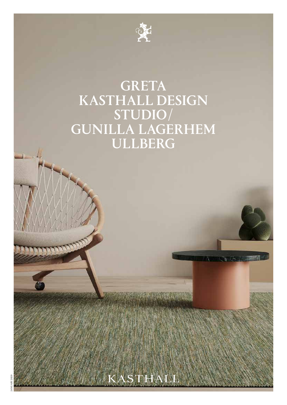

# GRETA KASTHALL DESIGN STUDIO/ GUNILLA LAGERHEM ULLBERG

THALL

JANUARY 2020

**CONTRACTORY**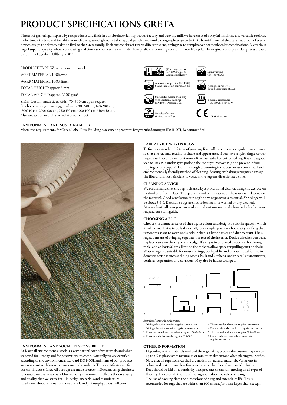# PRODUCT SPECIFICATIONS GRETA

The art of gathering. Inspired by rest products and finds in our absolute vicinity, i.e. our factory and weaving mill, we have created a playful, inspiring and versatile toolbox. Color tones, texture and tactility from leftovers, wood, glass, metal scrap, old punch cards and packaging have given birth to beautiful mixed shades; an addition of seven new colors (to the already existing five) to the Greta family. Each rug consists of twelve different yarns, giving rise to complex, yet harmonic color combinations. A vivacious rug of superior quality whose contrasting and timeless character is a reminder how quality is recurring constant in our life cycle. The original conceptual design was created by Gunilla Lagerhem Ullberg, 2007.

PRODUCT TYPE: Woven rug in pure wool

WEFT MATERIAL: 100% wool

WARP MATERIAL: 100% linen

TOTAL HEIGHT: approx. 5 mm

TOTAL WEIGHT: approx. 2200 g/m2

SIZE: Custom made sizes, width 70–600 cm upon request. Or choose amongst our suggested sizes; 90x240 cm, 140x200 cm, 170x240 cm, 200x300 cm, 250x350 cm, 300x400 cm, 350x450 cm.  $\begin{array}{c} \text{A} \text{So } \text{A} \text{ is a constant, and } \text{A} \text{ is a constant.} \end{array}$ 

## ENVIRONMENT AND SUSTAINABILITY

Meets the requirements for Green Label Plus. Building assessment program: Byggvarubedömingen ID: 111071, Recommended



# ENVIRONMENT AND SOCIAL RESPONSIBILITY

At Kasthall environmental work is a very natural part of what we do and what we stand for – today and for generations to come. Naturally we are certified according to the environmental standard ISO 14001, and many of our products are compliant with known environmental standards. These certificates confirm our continuous efforts. All our rugs are made to order in Sweden, using the finest renewable natural materials. Our working environment reflects the creativity and quality that we strive for – in design, materials and manufacture. Read more about our environmental work and philosophy at kasthall.com.

# CARE ADVICE WOVEN RUGS

(EN 13501-1) Cfl-s1

Wear classification: (EN 1307) Class 33 Commercial heavy

Acoustics properties: (EN 1307) Sound insulation approx. 24 dB

Suitable for Castor chair only with additional backing: (EN 1307) Occasional use

To further extend the lifetime of your rug, Kasthall recommends a regular maintenance so that the rug may retains its shape and appearance. If you have a light, single-colour rug you will need to care for it more often than a darker, patterned rug. It is also a good idea to use a rug underlay to prolong the life of your woven rug and prevent it from slipping on any type of floor. Thorough vacuuming is the best, most economical and environmentally friendly method of cleaning. Beating or shaking a rug may damage the fibers. It is most efficient to vacuum the rug one direction at a time.

Acoustics properties:<br>Sound absorption  $\alpha_{_{\mathbf{W}}}$ 0,15,

Luxury rating: (EN 1307) LC1

Thermal resistance: (ISO 8302) 1,8 m² K/W

 $\mathbf{\mathsf{C}}$   $\boldsymbol{\mathsf{\mathsf{C}}}$   $_{\scriptscriptstyle{\mathrm{CE}\,(\mathrm{EN}\,1404\mathrm{l})}}$ 

## CLEANING ADVICE

We recommend that the rug is cleaned by a professional cleaner, using the extraction method on a flat surface. The quantity and temperature of the water will depend on the material. Good ventilation during the drying process is essential. Shrinkage will be about 3–5%. Kasthall's rugs are not to be machine-washed or dry-cleaned. At www.kasthall.com you can read more about our materials, how to look after your rug and our stain guide.

## CHOOSING A RUG

Choose the characteristics of the rug, its colour and design to suit the space in which it will be laid. If it is to be laid in a hall, for example, you may choose a type of rug that is more resistant to wear, and a colour that is a little darker and dirt-tolerant. Use a rug as a means of bringing together the rest of the interior. Decide whether you want to place a sofa on the rug or at its edge. If a rug is to be placed underneath a dining table, add at least 60 cm all round the table to allow space for pulling out the chairs. Woven rugs are suitable for most settings, both public and private. Ideal for use in domestic settings such as dining rooms, halls and kitchens, and in retail environments, conference premises and corridors. May also be laid as a carpet.



Armchair 80x80 *Examples of commonly used rug sizes:*

1. Dining table with 6 chairs: rug size 200x300 cm 2. Dining table with 10 chairs: rug size 300x400 cm

- 3. Three-seat couch with armchairs: rug size 170x240 cm
- 4. Three-seat double couch: rug size 200x300 cm

## OTHER INFORMATION

• Depending on the materials used and the rug-making process, dimensions may vary by

5. Three-seat double couch: rug size 250x350 cm 6. Corner sofa with armchairs: rug size 250x350 cm 7. Three-seat double couch: rug size 300x400 cm 8. Corner sofa with daybed and armchair:

rug size 350x450 cm

- up to 5% so please state maximum or minimum dimensions when placing your order. • Note that all rugs from Kasthall are made from natural materials. Variations in
- colour and texture can therefore arise between batches of yarn and dye baths. • Rugs should be laid on an underlay that prevents them from moving on all types of
- flooring. This extends the life of the rug and reduce the risk of slipping.
- The use of backing fixes the dimensions of a rug and extends its life. This is recomended for rugs that are wider than 200 cm and/or those larger than six sqm.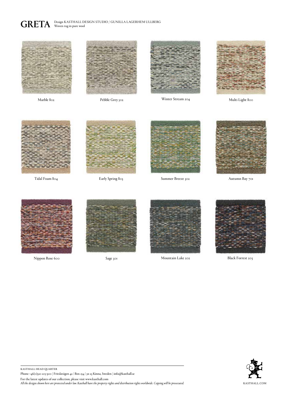GRETA Design KASTHALL DESIGN STUDIO / GUNILLA LAGERHEM ULLBERG Woven rug in pure wool









Marble 802 Pebble Grey 502 Multi Light 800 Winter Stream 204





Early Spring 803



Tidal Foam 804 Summer Breeze 302



Autumn Bay 701





Sage 301



Nippon Rose 600 Mountain Lake 202 Black Forrest 203





kasthall head quarter Phone +46(0)320 205 900 | Fritslavägen 42 | Box 254 | 511 23 Kinna, Sweden | info@kasthall.se For the latest updates of our collection, please visit www.kasthall.com *All the designs shown here are protected under law. Kasthall have the property rights and distribution rights worldwide. Copying will be prosecuted.* KASTHALL.COM